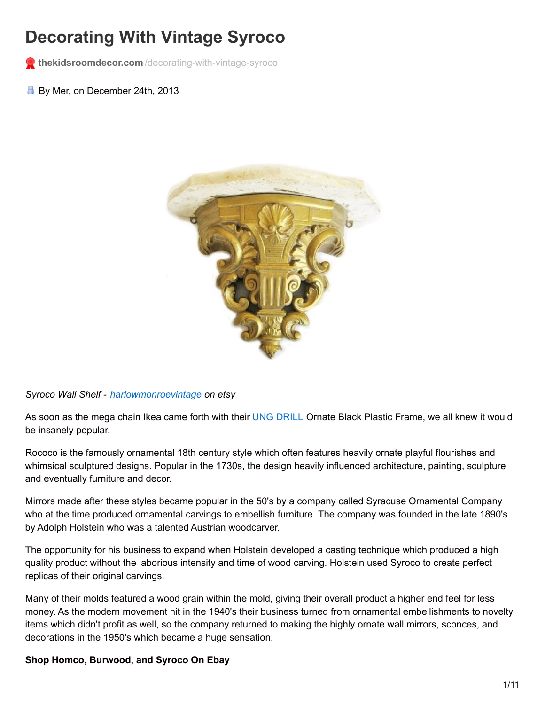# **Decorating With Vintage Syroco**

**thekidsroomdecor.com** [/decorating-with-vintage-syroco](http://thekidsroomdecor.com/decorating-with-vintage-syroco)

By Mer, on December 24th, 2013



*Syroco Wall Shelf - [harlowmonroevintage](http://www.etsy.com/listing/83559375/hollywood-regency-vintage-shelf-syroco?ref=market) on etsy*

As soon as the mega chain Ikea came forth with their UNG [DRILL](http://www.ikea.com/us/en/catalog/products/00091967?filterBean=se.ikea.ms.search.beans.IrwSearchFilterBean%403be8137d&SEARCH_FILTER_0=eNqVU01v00AQHQxtQQ1CDRUV4kalXkC2hHrLpW2qoqAAEa44JKeNM7gL%252FmJ3nTQ9IH4BNyTED%252BAE%250AEkicOdh%252FjPGuk8ZJ26iO5djz3rzZnTeb%252Fcx%252FwYoU8ESizT8gs0NpS2TCO7H7yCJpt8TI1d9HPFAo%250ADij4Nvucfcv%252F5L%252F38i%252B%252BBY%252B6sPFOg%252Fue4kNsxkEsulCfjb3CEUo1R%252BwI7mEXtqqxeJB66nicEHLf%250AIIdcsn6Ag1J4sxqdSM%252BRS%252FGH89EZ%252BS2z0Qm2349T1aIedOFBFTlIJY9QygWg6aIY6jqbVeCIhTwY%250A06Kq4dYAGanUq9EXcV8uUDviooLl%252BmUPVr2iG1KB02tLdArvnFA6hu5o75ypd60oQmEMbLThrulJ%250A84Ql9KfAvq7AeilQrEBBvf2eDZkTsMh3XCV45BOlZijGnI%252FwCW5O07QzZWhjEpraUgLl9LgYoKdM%250A4RIpx8Wl0lSqw3weMcXjqKropv0mU%252BjHYlwAFgG%252BiNPEbOcNyjRQCnaX7%252Fz5fFaxOaHfZDNOI1K5%250AZxqQKh44L1nSOE1gct2gH92pMDYtOWKzXd4ZZX9H%252Bb9B9v3MAjCSdE6fXkckzn8Mtnfzr9s1C6wu%250ArDJ9xNqwMmRBajpNwgqgeF2%252F9CGL5x1DoiU8W7qEhZ5NumHBrR7UQhqcwlYyjeZ356L51b08px2%252F%250AbhR5h5gwoUKM1JV55zSdtxbSKeU0hvD40hTD0PTboTuWCsOr%252BZpC%252FNNEX%252F8BWOHUkQ%253D%253D) Ornate Black Plastic Frame, we all knew it would be insanely popular.

Rococo is the famously ornamental 18th century style which often features heavily ornate playful flourishes and whimsical sculptured designs. Popular in the 1730s, the design heavily influenced architecture, painting, sculpture and eventually furniture and decor.

Mirrors made after these styles became popular in the 50's by a company called Syracuse Ornamental Company who at the time produced ornamental carvings to embellish furniture. The company was founded in the late 1890's by Adolph Holstein who was a talented Austrian woodcarver.

The opportunity for his business to expand when Holstein developed a casting technique which produced a high quality product without the laborious intensity and time of wood carving. Holstein used Syroco to create perfect replicas of their original carvings.

Many of their molds featured a wood grain within the mold, giving their overall product a higher end feel for less money. As the modern movement hit in the 1940's their business turned from ornamental embellishments to novelty items which didn't profit as well, so the company returned to making the highly ornate wall mirrors, sconces, and decorations in the 1950's which became a huge sensation.

#### **Shop Homco, Burwood, and Syroco On Ebay**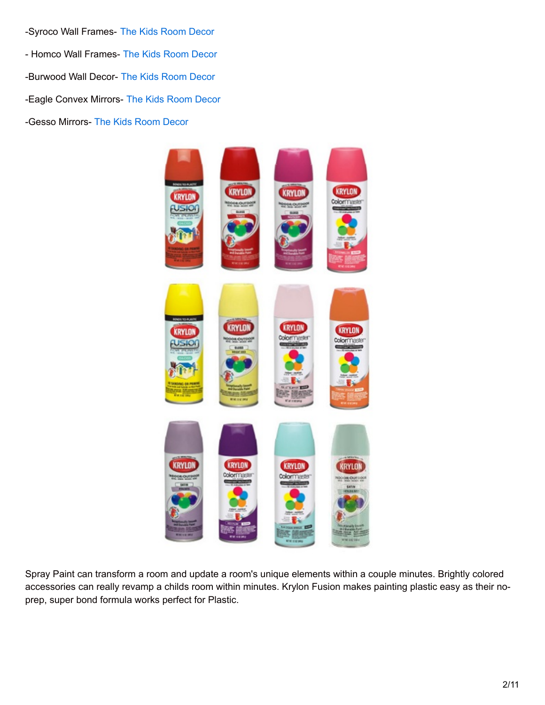-Syroco Wall Frames- The Kids [Room](http://thekidsroomdecor.com/syroco-wall-frames) Decor - Homco Wall Frames- The Kids [Room](http://thekidsroomdecor.com/homco-wall-frames) Decor -Burwood Wall Decor- The Kids [Room](http://thekidsroomdecor.com/burwood-wall-decor) Decor -Eagle Convex Mirrors- The Kids [Room](http://thekidsroomdecor.com/eagle-convex-mirrors) Decor -Gesso Mirrors- The Kids [Room](http://thekidsroomdecor.com/gesso-mirrors) Decor



Spray Paint can transform a room and update a room's unique elements within a couple minutes. Brightly colored accessories can really revamp a childs room within minutes. Krylon Fusion makes painting plastic easy as their noprep, super bond formula works perfect for Plastic.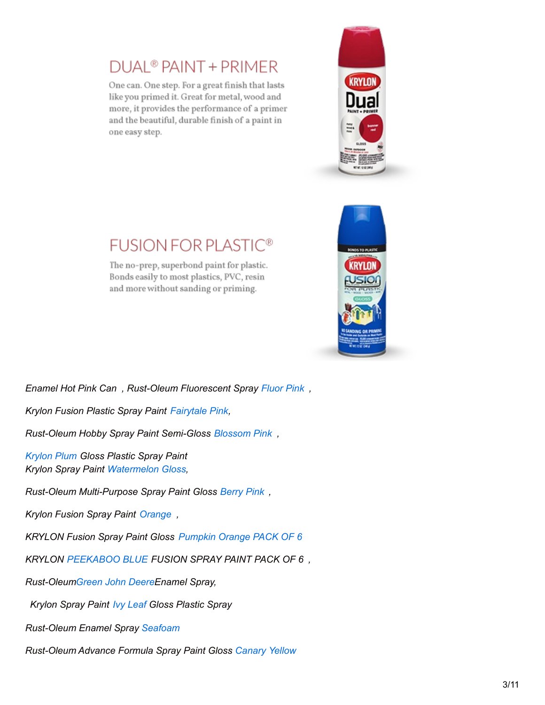## **DUAL<sup>®</sup> PAINT + PRIMER**

One can. One step. For a great finish that lasts like you primed it. Great for metal, wood and more, it provides the performance of a primer and the beautiful, durable finish of a paint in one easy step.





## **FUSION FOR PLASTIC®**

The no-prep, superbond paint for plastic. Bonds easily to most plastics, PVC, resin and more without sanding or priming.

*Enamel Hot Pink Can , Rust-Oleum Fluorescent Spray [Fluor](http://www.amazon.com/gp/product/B000QD7LJE?ie=UTF8&tag=shatteparadi-20&linkCode=as2&camp=1789&creative=390957&creativeASIN=B000QD7LJE) Pink ,*

*Krylon Fusion Plastic Spray Paint [Fairytale](http://www.amazon.com/gp/product/B000RMRSAQ?ie=UTF8&tag=shatteparadi-20&linkCode=as2&camp=1789&creative=390957&creativeASIN=B000RMRSAQ) Pink,*

*Rust-Oleum Hobby Spray Paint Semi-Gloss [Blossom](http://www.amazon.com/gp/product/B000VA7XW2?ie=UTF8&tag=shatteparadi-20&linkCode=as2&camp=1789&creative=390957&creativeASIN=B000VA7XW2) Pink ,*

*[Krylon](http://www.amazon.com/gp/product/B00397RB62?ie=UTF8&tag=shatteparadi-20&linkCode=as2&camp=1789&creative=390957&creativeASIN=B00397RB62) Plum Gloss Plastic Spray Paint Krylon Spray Paint [Watermelon](http://www.amazon.com/gp/product/B00397ZE7K?ie=UTF8&tag=shatteparadi-20&linkCode=as2&camp=1789&creative=390957&creativeASIN=B00397ZE7K) Gloss,*

*Rust-Oleum Multi-Purpose Spray Paint Gloss [Berry](http://www.amazon.com/gp/product/B002BWOS6M?ie=UTF8&tag=shatteparadi-20&linkCode=as2&camp=1789&creative=390957&creativeASIN=B002BWOS6M) Pink ,*

*Krylon Fusion Spray Paint [Orange](http://www.amazon.com/gp/product/B000C028C6?ie=UTF8&tag=shatteparadi-20&linkCode=as2&camp=1789&creative=390957&creativeASIN=B000C028C6) ,*

*KRYLON Fusion Spray Paint Gloss [Pumpkin](http://www.amazon.com/gp/product/B002FQZ7ZU?ie=UTF8&tag=shatteparadi-20&linkCode=as2&camp=1789&creative=390957&creativeASIN=B002FQZ7ZU) Orange PACK OF 6*

*KRYLON [PEEKABOO](http://www.amazon.com/gp/product/B001VO48UC?ie=UTF8&tag=shatteparadi-20&linkCode=as2&camp=1789&creative=390957&creativeASIN=B001VO48UC) BLUE FUSION SPRAY PAINT PACK OF 6 ,*

*Rust-Oleu[mGreen](http://www.amazon.com/gp/product/B0009XB3ZY?ie=UTF8&tag=shatteparadi-20&linkCode=as2&camp=1789&creative=390957&creativeASIN=B0009XB3ZY) John DeereEnamel Spray,*

*Krylon Spray Paint Ivy [Leaf](http://www.amazon.com/gp/product/B003982C1U?ie=UTF8&tag=shatteparadi-20&linkCode=as2&camp=1789&creative=390957&creativeASIN=B003982C1U) Gloss Plastic Spray*

*Rust-Oleum Enamel Spray [Seafoam](http://www.amazon.com/gp/product/B001UE7ML0?ie=UTF8&tag=shatteparadi-20&linkCode=as2&camp=1789&creative=390957&creativeASIN=B001UE7ML0)*

*Rust-Oleum Advance Formula Spray Paint Gloss [Canary](http://www.amazon.com/gp/product/B0016HIHJM?ie=UTF8&tag=shatteparadi-20&linkCode=as2&camp=1789&creative=390957&creativeASIN=B0016HIHJM) Yellow*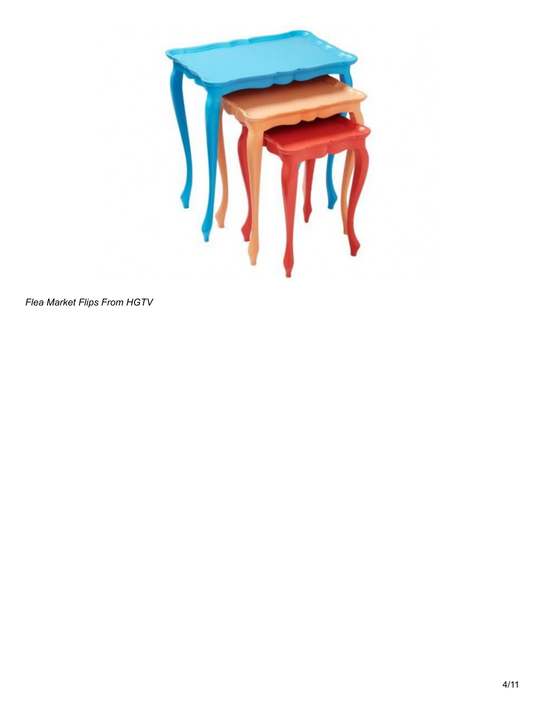

*Flea Market Flips From HGTV*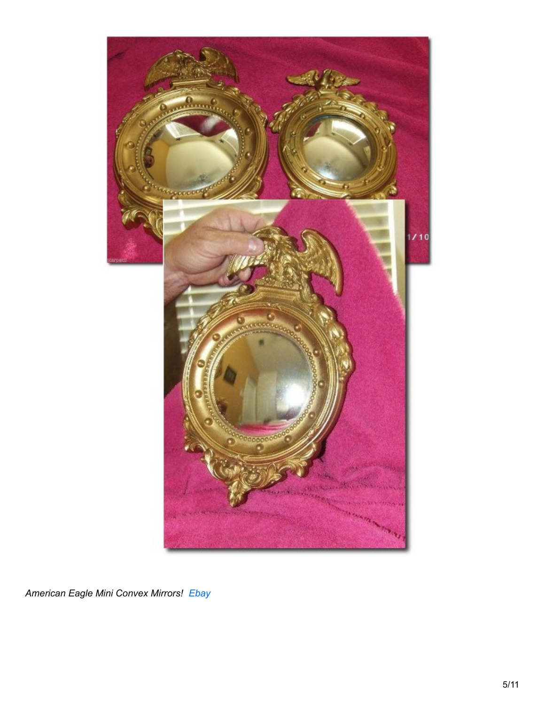

American Eagle Mini Convex Mirrors! Ebay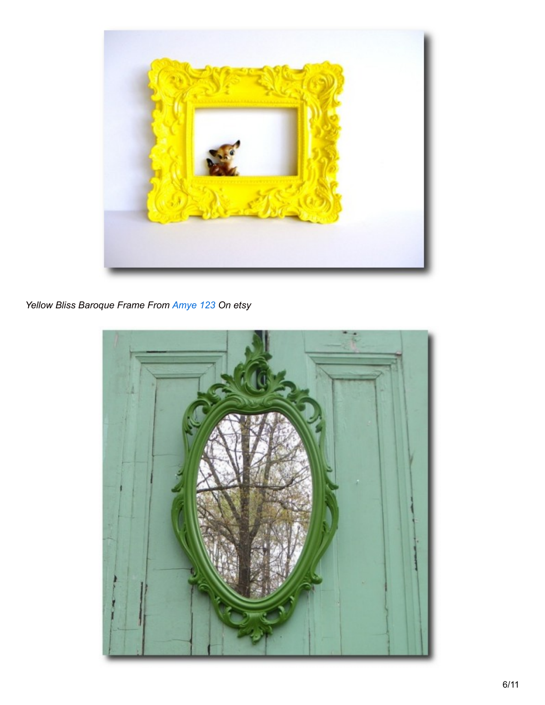

Yellow Bliss Baroque Frame From Amye 123 On etsy

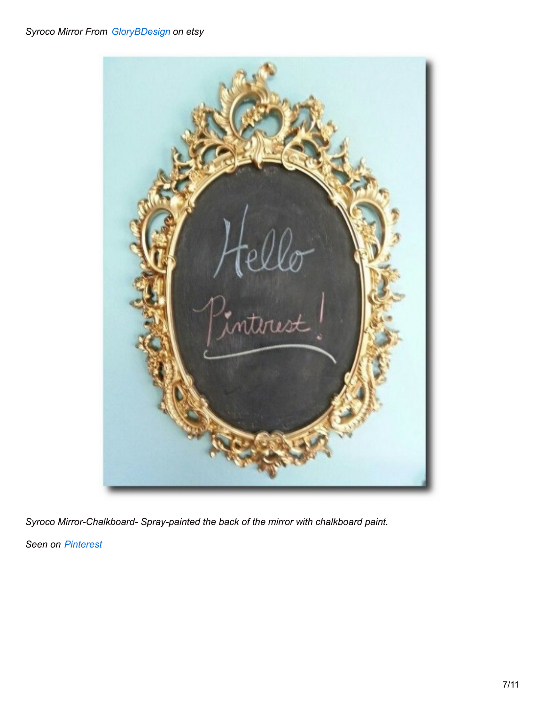#### *Syroco Mirror From [GloryBDesign](http://www.etsy.com/shop/GloryBDesign?ref=l2-shopheader-name) on etsy*



*Syroco Mirror-Chalkboard- Spray-painted the back of the mirror with chalkboard paint.*

*Seen on [Pinterest](http://www.pinterest.com/pin/304344887288990468/)*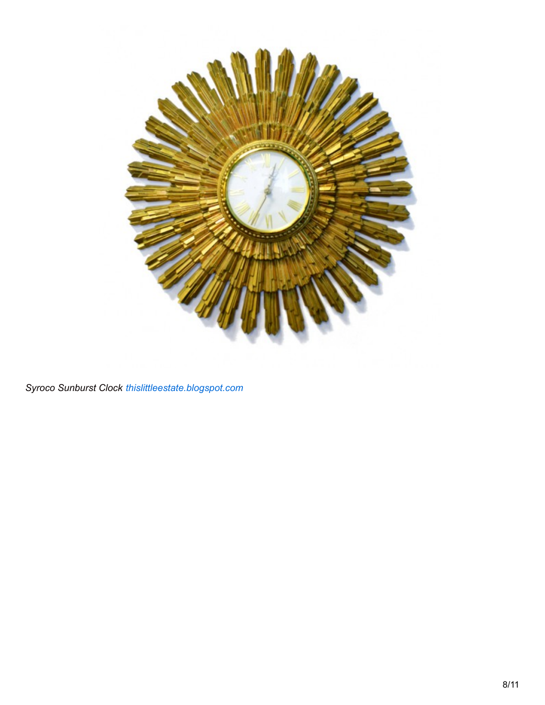

*Syroco Sunburst Clock [thislittleestate.blogspot.com](http://thislittleestate.blogspot.com/2013_01_01_archive.html)*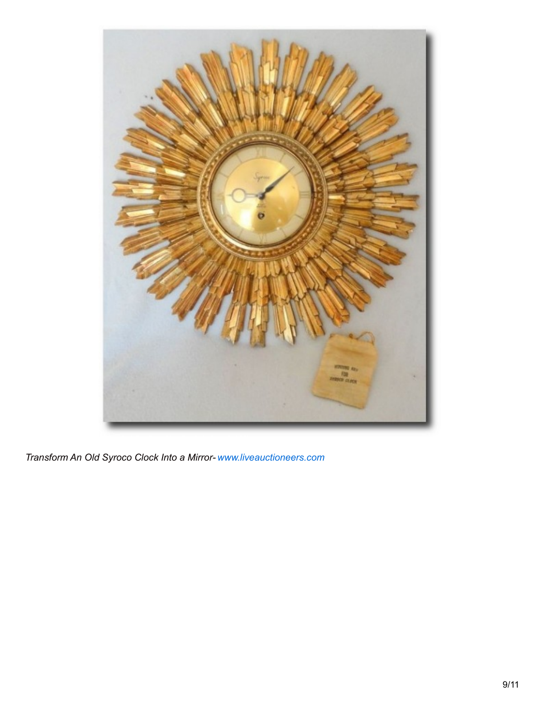

*Transform An Old Syroco Clock Into a Mirror- [www.liveauctioneers.com](http://www.liveauctioneers.com/item/10058685)*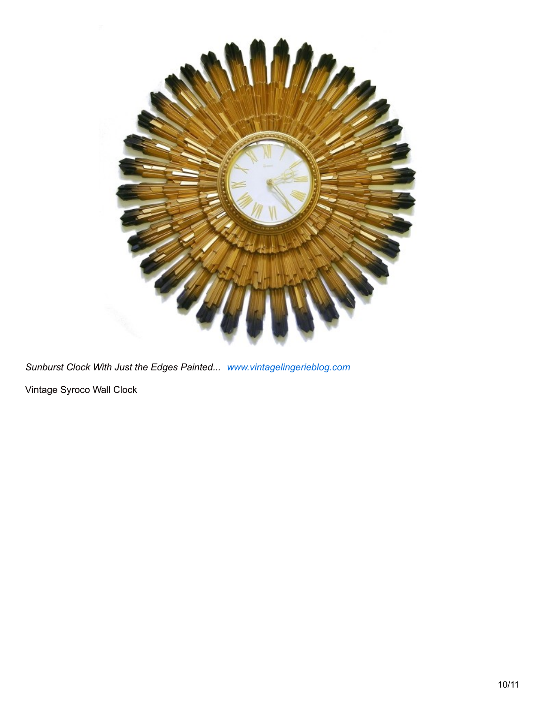

*Sunburst Clock With Just the Edges Painted... [www.vintagelingerieblog.com](http://www.vintagelingerieblog.com/vintage-gifts/your-mad-men-office-is-not-complete-without-these-starburst-wall-clocks/)* Vintage Syroco Wall Clock